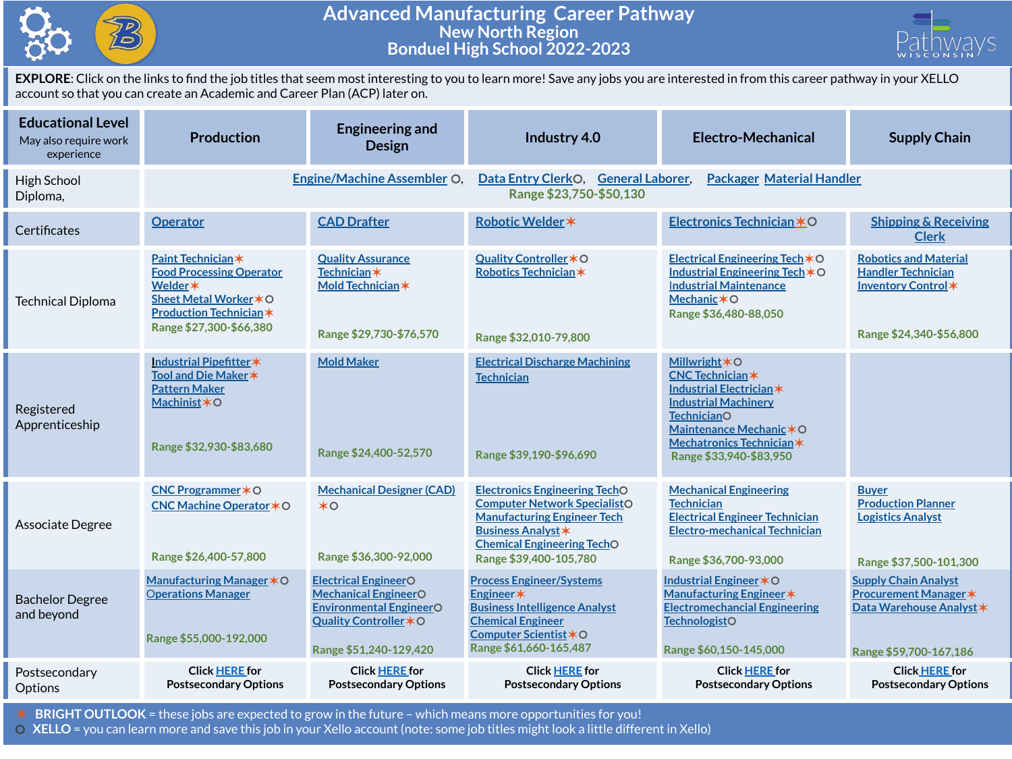

## **Advanced Manufacturing Career Pathway New North Region Bonduel High School 2022-2023**



**EXPLORE**: Click on the links to find the job titles that seem most interesting to you to learn more! Save any jobs you are interested in from this career pathway in your XELLO account so that you can create an Academic and Career Plan (ACP) later on.

| <b>Educational Level</b><br>May also require work<br>experience | <b>Production</b>                                                                                                                                      | <b>Engineering and</b><br><b>Design</b>                                                                                                          | Industry 4.0                                                                                                                                                                                                  | Electro-Mechanical                                                                                                                                                                                                           | <b>Supply Chain</b>                                                                                        |  |
|-----------------------------------------------------------------|--------------------------------------------------------------------------------------------------------------------------------------------------------|--------------------------------------------------------------------------------------------------------------------------------------------------|---------------------------------------------------------------------------------------------------------------------------------------------------------------------------------------------------------------|------------------------------------------------------------------------------------------------------------------------------------------------------------------------------------------------------------------------------|------------------------------------------------------------------------------------------------------------|--|
| High School<br>Diploma,                                         | <b>Engine/Machine Assembler O</b>                                                                                                                      |                                                                                                                                                  | Data Entry ClerkO, General Laborer,<br><b>Packager Material Handler</b><br>Range \$23,750-\$50,130                                                                                                            |                                                                                                                                                                                                                              |                                                                                                            |  |
| Certificates                                                    | <b>Operator</b>                                                                                                                                        | <b>CAD Drafter</b>                                                                                                                               | Robotic Welder *                                                                                                                                                                                              | Electronics Technician *O                                                                                                                                                                                                    | <b>Shipping &amp; Receiving</b><br><b>Clerk</b>                                                            |  |
| <b>Technical Diploma</b>                                        | Paint Technician*<br><b>Food Processing Operator</b><br>Welder *<br>Sheet Metal Worker * O<br><b>Production Technician*</b><br>Range \$27,300-\$66,380 | <b>Quality Assurance</b><br><b>Technician</b> *<br>Mold Technician *<br>Range \$29,730-\$76,570                                                  | Quality Controller * O<br>Robotics Technician*<br>Range \$32,010-79,800                                                                                                                                       | Electrical Engineering Tech $*$ O<br>Industrial Engineering Tech *O<br><b>Industrial Maintenance</b><br>Mechanic $*$ O<br>Range \$36,480-88,050                                                                              | <b>Robotics and Material</b><br><b>Handler Technician</b><br>Inventory Control*<br>Range \$24,340-\$56,800 |  |
| Registered<br>Apprenticeship                                    | Industrial Pipefitter *<br>Tool and Die Maker *<br><b>Pattern Maker</b><br>Machinist*O<br>Range \$32,930-\$83,680                                      | <b>Mold Maker</b><br>Range \$24,400-52,570                                                                                                       | <b>Electrical Discharge Machining</b><br><b>Technician</b><br>Range \$39,190-\$96,690                                                                                                                         | <b>Millwright <math>*</math>O</b><br><b>CNC Technician*</b><br>Industrial Electrician*<br><b>Industrial Machinery</b><br><b>TechnicianO</b><br>Maintenance Mechanic*O<br>Mechatronics Technician*<br>Range \$33,940-\$83,950 |                                                                                                            |  |
| Associate Degree                                                | CNC Programmer * O<br>CNC Machine Operator * O<br>Range \$26,400-57,800                                                                                | <b>Mechanical Designer (CAD)</b><br>$*$ o<br>Range \$36,300-92,000                                                                               | <b>Electronics Engineering TechO</b><br><b>Computer Network SpecialistO</b><br><b>Manufacturing Engineer Tech</b><br><b>Business Analyst *</b><br><b>Chemical Engineering TechO</b><br>Range \$39,400-105,780 | <b>Mechanical Engineering</b><br><b>Technician</b><br><b>Electrical Engineer Technician</b><br><b>Electro-mechanical Technician</b><br>Range \$36,700-93,000                                                                 | <b>Buyer</b><br><b>Production Planner</b><br><b>Logistics Analyst</b><br>Range \$37,500-101,300            |  |
| <b>Bachelor Degree</b><br>and beyond                            | Manufacturing Manager * O<br><b>Operations Manager</b><br>Range \$55,000-192,000                                                                       | <b>Electrical EngineerO</b><br><b>Mechanical EngineerO</b><br><b>Environmental EngineerO</b><br>Quality Controller * O<br>Range \$51,240-129,420 | <b>Process Engineer/Systems</b><br>Engineer*<br><b>Business Intelligence Analyst</b><br><b>Chemical Engineer</b><br>Computer Scientist *O<br>Range \$61,660-165,487                                           | Industrial Engineer * O<br>Manufacturing Engineer *<br><b>Electromechancial Engineering</b><br><b>TechnologistO</b><br>Range \$60,150-145,000                                                                                | <b>Supply Chain Analyst</b><br>Procurement Manager *<br>Data Warehouse Analyst *<br>Range \$59,700-167,186 |  |
| Postsecondary<br>Options                                        | <b>Click HERE for</b><br><b>Postsecondary Options</b>                                                                                                  | <b>Click HERE for</b><br><b>Postsecondary Options</b>                                                                                            | <b>Click HERE for</b><br><b>Postsecondary Options</b>                                                                                                                                                         | <b>Click HERE for</b><br><b>Postsecondary Options</b>                                                                                                                                                                        | <b>Click HERE for</b><br><b>Postsecondary Options</b>                                                      |  |

✶ **BRIGHT OUTLOOK** = these jobs are expected to grow in the future – which means more opportunities for you!

⚪ **XELLO** = you can learn more and save this job in your Xello account (note: some job titles might look a little different in Xello)